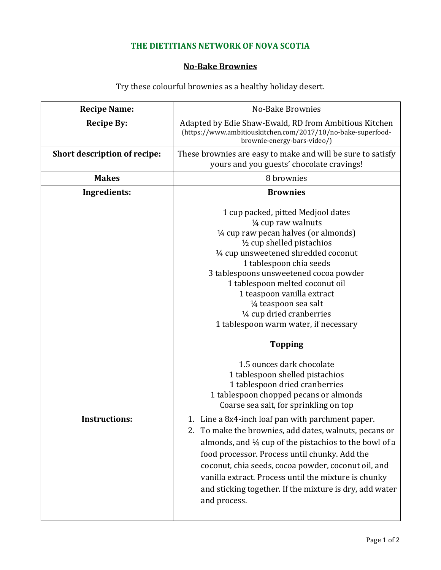## **THE DIETITIANS NETWORK OF NOVA SCOTIA**

## **No-Bake Brownies**

Try these colourful brownies as a healthy holiday desert.

| <b>Recipe Name:</b>          | No-Bake Brownies                                                                                                                                                                                                                                                                                                                                                                                                                                                    |  |  |
|------------------------------|---------------------------------------------------------------------------------------------------------------------------------------------------------------------------------------------------------------------------------------------------------------------------------------------------------------------------------------------------------------------------------------------------------------------------------------------------------------------|--|--|
| <b>Recipe By:</b>            | Adapted by Edie Shaw-Ewald, RD from Ambitious Kitchen<br>(https://www.ambitiouskitchen.com/2017/10/no-bake-superfood-<br>brownie-energy-bars-video/)                                                                                                                                                                                                                                                                                                                |  |  |
| Short description of recipe: | These brownies are easy to make and will be sure to satisfy<br>yours and you guests' chocolate cravings!                                                                                                                                                                                                                                                                                                                                                            |  |  |
| <b>Makes</b>                 | 8 brownies                                                                                                                                                                                                                                                                                                                                                                                                                                                          |  |  |
| Ingredients:                 | <b>Brownies</b>                                                                                                                                                                                                                                                                                                                                                                                                                                                     |  |  |
|                              | 1 cup packed, pitted Medjool dates<br>$\frac{1}{4}$ cup raw walnuts<br>$\frac{1}{4}$ cup raw pecan halves (or almonds)<br>$\frac{1}{2}$ cup shelled pistachios<br>1/4 cup unsweetened shredded coconut<br>1 tablespoon chia seeds<br>3 tablespoons unsweetened cocoa powder<br>1 tablespoon melted coconut oil<br>1 teaspoon vanilla extract<br>1/ <sub>4</sub> teaspoon sea salt<br>1/ <sub>4</sub> cup dried cranberries<br>1 tablespoon warm water, if necessary |  |  |
|                              | <b>Topping</b>                                                                                                                                                                                                                                                                                                                                                                                                                                                      |  |  |
|                              | 1.5 ounces dark chocolate<br>1 tablespoon shelled pistachios<br>1 tablespoon dried cranberries<br>1 tablespoon chopped pecans or almonds<br>Coarse sea salt, for sprinkling on top                                                                                                                                                                                                                                                                                  |  |  |
| <b>Instructions:</b>         | 1. Line a 8x4-inch loaf pan with parchment paper.<br>2. To make the brownies, add dates, walnuts, pecans or<br>almonds, and 1/4 cup of the pistachios to the bowl of a<br>food processor. Process until chunky. Add the<br>coconut, chia seeds, cocoa powder, coconut oil, and<br>vanilla extract. Process until the mixture is chunky<br>and sticking together. If the mixture is dry, add water<br>and process.                                                   |  |  |